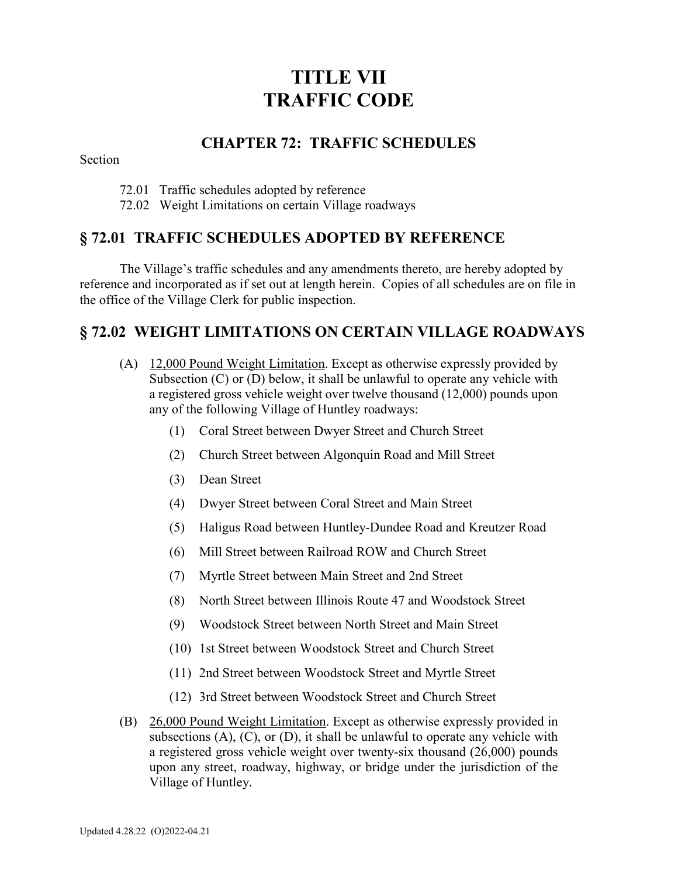# **TITLE VII TRAFFIC CODE**

#### **CHAPTER 72: TRAFFIC SCHEDULES**

Section

- 72.01 Traffic schedules adopted by reference
- 72.02 Weight Limitations on certain Village roadways

## **§ 72.01 TRAFFIC SCHEDULES ADOPTED BY REFERENCE**

The Village's traffic schedules and any amendments thereto, are hereby adopted by reference and incorporated as if set out at length herein. Copies of all schedules are on file in the office of the Village Clerk for public inspection.

## **§ 72.02 WEIGHT LIMITATIONS ON CERTAIN VILLAGE ROADWAYS**

- (A) 12,000 Pound Weight Limitation. Except as otherwise expressly provided by Subsection (C) or (D) below, it shall be unlawful to operate any vehicle with a registered gross vehicle weight over twelve thousand (12,000) pounds upon any of the following Village of Huntley roadways:
	- (1) Coral Street between Dwyer Street and Church Street
	- (2) Church Street between Algonquin Road and Mill Street
	- (3) Dean Street
	- (4) Dwyer Street between Coral Street and Main Street
	- (5) Haligus Road between Huntley-Dundee Road and Kreutzer Road
	- (6) Mill Street between Railroad ROW and Church Street
	- (7) Myrtle Street between Main Street and 2nd Street
	- (8) North Street between Illinois Route 47 and Woodstock Street
	- (9) Woodstock Street between North Street and Main Street
	- (10) 1st Street between Woodstock Street and Church Street
	- (11) 2nd Street between Woodstock Street and Myrtle Street
	- (12) 3rd Street between Woodstock Street and Church Street
- (B) 26,000 Pound Weight Limitation. Except as otherwise expressly provided in subsections  $(A)$ ,  $(C)$ , or  $(D)$ , it shall be unlawful to operate any vehicle with a registered gross vehicle weight over twenty-six thousand (26,000) pounds upon any street, roadway, highway, or bridge under the jurisdiction of the Village of Huntley.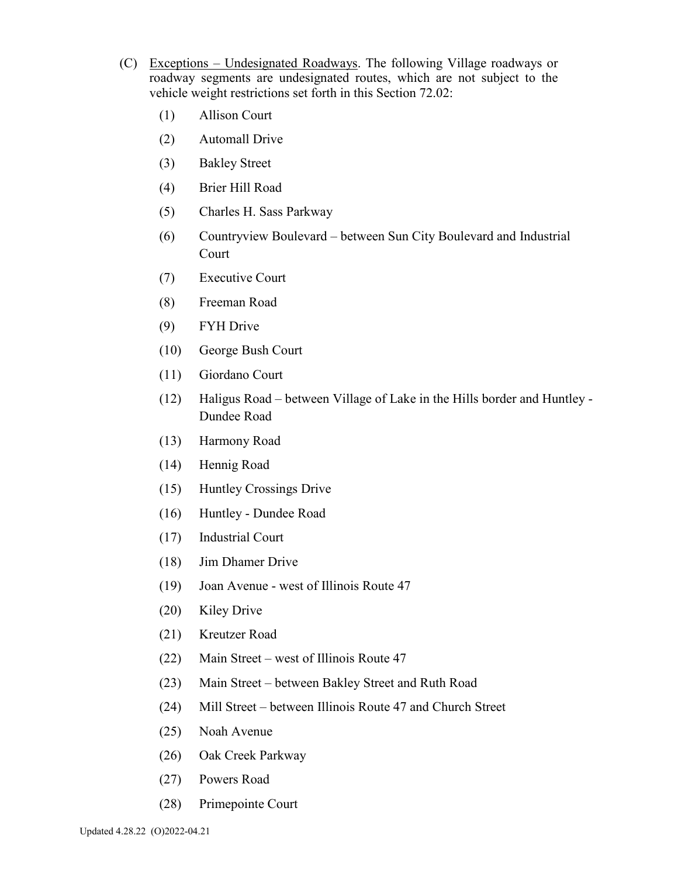- (C) Exceptions Undesignated Roadways. The following Village roadways or roadway segments are undesignated routes, which are not subject to the vehicle weight restrictions set forth in this Section 72.02:
	- (1) Allison Court
	- (2) Automall Drive
	- (3) Bakley Street
	- (4) Brier Hill Road
	- (5) Charles H. Sass Parkway
	- (6) Countryview Boulevard between Sun City Boulevard and Industrial Court
	- (7) Executive Court
	- (8) Freeman Road
	- (9) FYH Drive
	- (10) George Bush Court
	- (11) Giordano Court
	- (12) Haligus Road between Village of Lake in the Hills border and Huntley Dundee Road
	- (13) Harmony Road
	- (14) Hennig Road
	- (15) Huntley Crossings Drive
	- (16) Huntley Dundee Road
	- (17) Industrial Court
	- (18) Jim Dhamer Drive
	- (19) Joan Avenue west of Illinois Route 47
	- (20) Kiley Drive
	- (21) Kreutzer Road
	- (22) Main Street west of Illinois Route 47
	- (23) Main Street between Bakley Street and Ruth Road
	- (24) Mill Street between Illinois Route 47 and Church Street
	- (25) Noah Avenue
	- (26) Oak Creek Parkway
	- (27) Powers Road
	- (28) Primepointe Court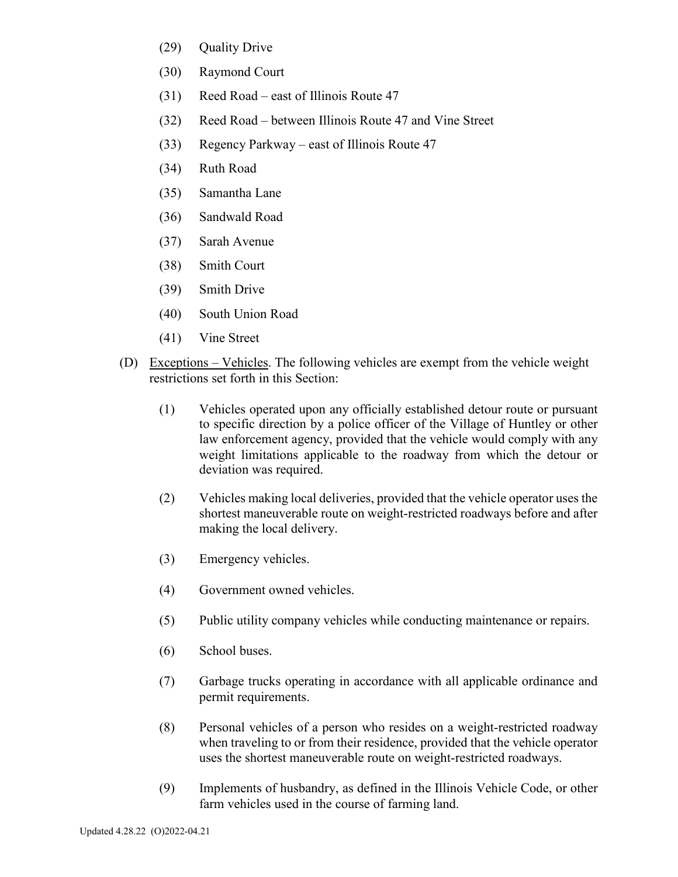- (29) Quality Drive
- (30) Raymond Court
- (31) Reed Road east of Illinois Route 47
- (32) Reed Road between Illinois Route 47 and Vine Street
- (33) Regency Parkway east of Illinois Route 47
- (34) Ruth Road
- (35) Samantha Lane
- (36) Sandwald Road
- (37) Sarah Avenue
- (38) Smith Court
- (39) Smith Drive
- (40) South Union Road
- (41) Vine Street
- (D) Exceptions Vehicles. The following vehicles are exempt from the vehicle weight restrictions set forth in this Section:
	- (1) Vehicles operated upon any officially established detour route or pursuant to specific direction by a police officer of the Village of Huntley or other law enforcement agency, provided that the vehicle would comply with any weight limitations applicable to the roadway from which the detour or deviation was required.
	- (2) Vehicles making local deliveries, provided that the vehicle operator uses the shortest maneuverable route on weight-restricted roadways before and after making the local delivery.
	- (3) Emergency vehicles.
	- (4) Government owned vehicles.
	- (5) Public utility company vehicles while conducting maintenance or repairs.
	- (6) School buses.
	- (7) Garbage trucks operating in accordance with all applicable ordinance and permit requirements.
	- (8) Personal vehicles of a person who resides on a weight-restricted roadway when traveling to or from their residence, provided that the vehicle operator uses the shortest maneuverable route on weight-restricted roadways.
	- (9) Implements of husbandry, as defined in the Illinois Vehicle Code, or other farm vehicles used in the course of farming land.